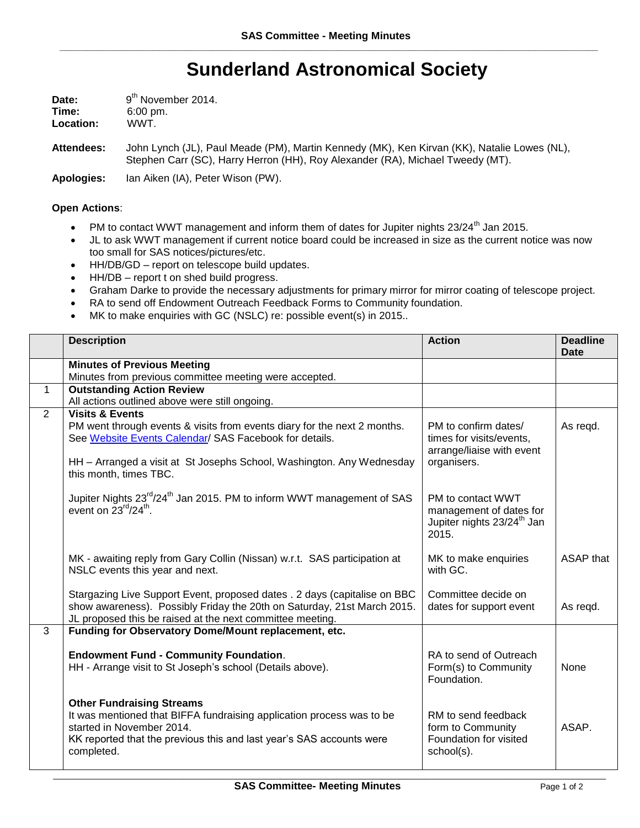## **Sunderland Astronomical Society**

| Date:     | 9 <sup>th</sup> November 2014. |  |
|-----------|--------------------------------|--|
| Time:     | $6:00 \text{ pm}$ .            |  |
| Location: | WWT.                           |  |

**Attendees:** John Lynch (JL), Paul Meade (PM), Martin Kennedy (MK), Ken Kirvan (KK), Natalie Lowes (NL), Stephen Carr (SC), Harry Herron (HH), Roy Alexander (RA), Michael Tweedy (MT).

**Apologies:** Ian Aiken (IA), Peter Wison (PW).

## **Open Actions**:

- PM to contact WWT management and inform them of dates for Jupiter nights 23/24<sup>th</sup> Jan 2015.
- JL to ask WWT management if current notice board could be increased in size as the current notice was now too small for SAS notices/pictures/etc.
- HH/DB/GD report on telescope build updates.
- HH/DB report t on shed build progress.
- Graham Darke to provide the necessary adjustments for primary mirror for mirror coating of telescope project.
- RA to send off Endowment Outreach Feedback Forms to Community foundation.
- MK to make enquiries with GC (NSLC) re: possible event(s) in 2015..

|                | <b>Description</b>                                                                                                                                                                                                           | <b>Action</b>                                                                                   | <b>Deadline</b> |
|----------------|------------------------------------------------------------------------------------------------------------------------------------------------------------------------------------------------------------------------------|-------------------------------------------------------------------------------------------------|-----------------|
|                | <b>Minutes of Previous Meeting</b>                                                                                                                                                                                           |                                                                                                 | <b>Date</b>     |
|                | Minutes from previous committee meeting were accepted.                                                                                                                                                                       |                                                                                                 |                 |
| $\mathbf 1$    | <b>Outstanding Action Review</b>                                                                                                                                                                                             |                                                                                                 |                 |
|                | All actions outlined above were still ongoing.                                                                                                                                                                               |                                                                                                 |                 |
| $\overline{2}$ | <b>Visits &amp; Events</b>                                                                                                                                                                                                   |                                                                                                 |                 |
|                | PM went through events & visits from events diary for the next 2 months.<br>See Website Events Calendar/ SAS Facebook for details.                                                                                           | PM to confirm dates/<br>times for visits/events,<br>arrange/liaise with event<br>organisers.    | As regd.        |
|                | HH - Arranged a visit at St Josephs School, Washington. Any Wednesday<br>this month, times TBC.                                                                                                                              |                                                                                                 |                 |
|                | Jupiter Nights 23 <sup>rd</sup> /24 <sup>th</sup> Jan 2015. PM to inform WWT management of SAS<br>event on $23^{rd}/24^{th}$ .                                                                                               | PM to contact WWT<br>management of dates for<br>Jupiter nights 23/24 <sup>th</sup> Jan<br>2015. |                 |
|                | MK - awaiting reply from Gary Collin (Nissan) w.r.t. SAS participation at<br>NSLC events this year and next.                                                                                                                 | MK to make enquiries<br>with GC.                                                                | ASAP that       |
|                | Stargazing Live Support Event, proposed dates . 2 days (capitalise on BBC<br>show awareness). Possibly Friday the 20th on Saturday, 21st March 2015.<br>JL proposed this be raised at the next committee meeting.            | Committee decide on<br>dates for support event                                                  | As regd.        |
| $\overline{3}$ | Funding for Observatory Dome/Mount replacement, etc.                                                                                                                                                                         |                                                                                                 |                 |
|                | <b>Endowment Fund - Community Foundation.</b><br>HH - Arrange visit to St Joseph's school (Details above).                                                                                                                   | RA to send of Outreach<br>Form(s) to Community<br>Foundation.                                   | None            |
|                | <b>Other Fundraising Streams</b><br>It was mentioned that BIFFA fundraising application process was to be<br>started in November 2014.<br>KK reported that the previous this and last year's SAS accounts were<br>completed. | RM to send feedback<br>form to Community<br>Foundation for visited<br>school(s).                | ASAP.           |

\_\_\_\_\_\_\_\_\_\_\_\_\_\_\_\_\_\_\_\_\_\_\_\_\_\_\_\_\_\_\_\_\_\_\_\_\_\_\_\_\_\_\_\_\_\_\_\_\_\_\_\_\_\_\_\_\_\_\_\_\_\_\_\_\_\_\_\_\_\_\_\_\_\_\_\_\_\_\_\_\_\_\_\_\_\_\_\_\_\_\_\_\_\_\_\_\_\_\_\_\_\_\_\_\_\_\_\_\_\_\_\_\_\_\_\_\_\_\_